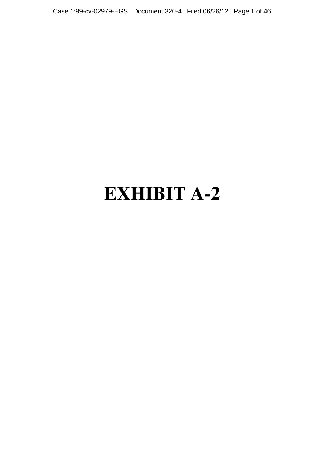Case 1:99-cv-02979-EGS Document 320-4 Filed 06/26/12 Page 1 of 46

# **EXHIBIT A-2**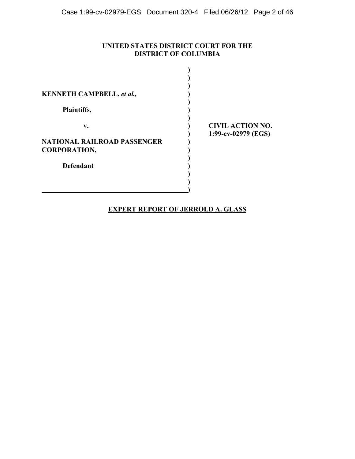# **UNITED STATES DISTRICT COURT FOR THE DISTRICT OF COLUMBIA**

| <b>KENNETH CAMPBELL, et al.,</b>   |                         |
|------------------------------------|-------------------------|
| Plaintiffs,                        |                         |
| v.                                 | <b>CIVIL ACTION NO.</b> |
| <b>NATIONAL RAILROAD PASSENGER</b> | 1:99-cv-02979 (EGS)     |
| <b>CORPORATION,</b>                |                         |
| <b>Defendant</b>                   |                         |
|                                    |                         |
|                                    |                         |

# **EXPERT REPORT OF JERROLD A. GLASS**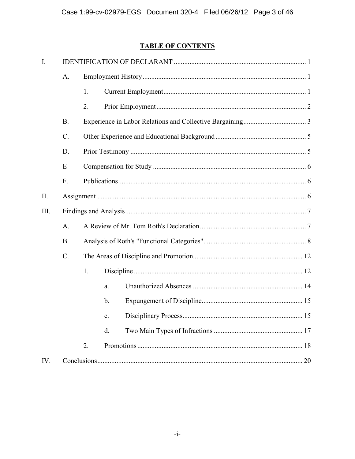# **TABLE OF CONTENTS**

| A.              |    |               |  |  |  |
|-----------------|----|---------------|--|--|--|
|                 | 1. |               |  |  |  |
|                 | 2. |               |  |  |  |
| B.              |    |               |  |  |  |
| $\mathcal{C}$ . |    |               |  |  |  |
| D.              |    |               |  |  |  |
| E               |    |               |  |  |  |
| $F_{\cdot}$     |    |               |  |  |  |
|                 |    |               |  |  |  |
|                 |    |               |  |  |  |
| $A$ .           |    |               |  |  |  |
| <b>B</b> .      |    |               |  |  |  |
| $C$ .           |    |               |  |  |  |
|                 | 1. |               |  |  |  |
|                 |    | a.            |  |  |  |
|                 |    | $\mathbf b$ . |  |  |  |
|                 |    | c.            |  |  |  |
|                 |    | d.            |  |  |  |
|                 | 2. |               |  |  |  |
|                 |    |               |  |  |  |
|                 |    |               |  |  |  |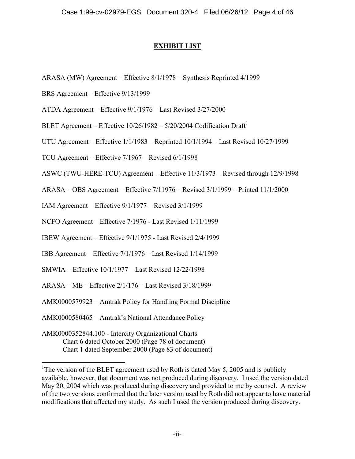# **EXHIBIT LIST**

ARASA (MW) Agreement – Effective 8/1/1978 – Synthesis Reprinted 4/1999

BRS Agreement – Effective 9/13/1999

ATDA Agreement – Effective 9/1/1976 – Last Revised 3/27/2000

BLET Agreement – Effective  $10/26/1982 - 5/20/2004$  Codification Draft<sup>1</sup>

UTU Agreement – Effective 1/1/1983 – Reprinted 10/1/1994 – Last Revised 10/27/1999

TCU Agreement – Effective 7/1967 – Revised 6/1/1998

ASWC (TWU-HERE-TCU) Agreement – Effective 11/3/1973 – Revised through 12/9/1998

ARASA – OBS Agreement – Effective 7/11976 – Revised 3/1/1999 – Printed 11/1/2000

IAM Agreement – Effective 9/1/1977 – Revised 3/1/1999

NCFO Agreement – Effective 7/1976 - Last Revised 1/11/1999

IBEW Agreement – Effective 9/1/1975 - Last Revised 2/4/1999

IBB Agreement – Effective 7/1/1976 – Last Revised 1/14/1999

SMWIA – Effective 10/1/1977 – Last Revised 12/22/1998

ARASA – ME – Effective 2/1/176 – Last Revised 3/18/1999

AMK0000579923 – Amtrak Policy for Handling Formal Discipline

AMK0000580465 – Amtrak's National Attendance Policy

AMK0000352844.100 - Intercity Organizational Charts Chart 6 dated October 2000 (Page 78 of document) Chart 1 dated September 2000 (Page 83 of document)

<sup>&</sup>lt;sup>1</sup>The version of the BLET agreement used by Roth is dated May 5, 2005 and is publicly available, however, that document was not produced during discovery. I used the version dated May 20, 2004 which was produced during discovery and provided to me by counsel. A review of the two versions confirmed that the later version used by Roth did not appear to have material modifications that affected my study. As such I used the version produced during discovery.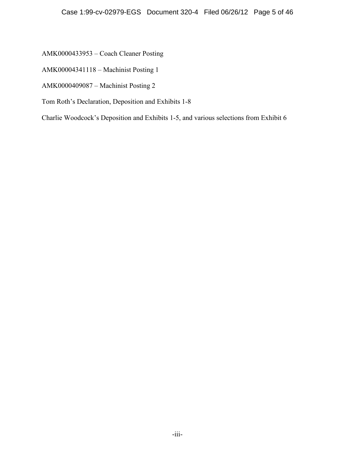AMK0000433953 – Coach Cleaner Posting

AMK00004341118 – Machinist Posting 1

AMK0000409087 – Machinist Posting 2

Tom Roth's Declaration, Deposition and Exhibits 1-8

Charlie Woodcock's Deposition and Exhibits 1-5, and various selections from Exhibit 6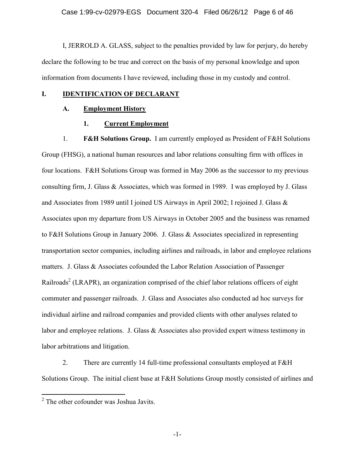I, JERROLD A. GLASS, subject to the penalties provided by law for perjury, do hereby declare the following to be true and correct on the basis of my personal knowledge and upon information from documents I have reviewed, including those in my custody and control.

#### **I. IDENTIFICATION OF DECLARANT**

# **A. Employment History**

# **1. Current Employment**

1. **F&H Solutions Group.** I am currently employed as President of F&H Solutions Group (FHSG), a national human resources and labor relations consulting firm with offices in four locations. F&H Solutions Group was formed in May 2006 as the successor to my previous consulting firm, J. Glass & Associates, which was formed in 1989. I was employed by J. Glass and Associates from 1989 until I joined US Airways in April 2002; I rejoined J. Glass & Associates upon my departure from US Airways in October 2005 and the business was renamed to F&H Solutions Group in January 2006. J. Glass & Associates specialized in representing transportation sector companies, including airlines and railroads, in labor and employee relations matters. J. Glass & Associates cofounded the Labor Relation Association of Passenger Railroads<sup>2</sup> (LRAPR), an organization comprised of the chief labor relations officers of eight commuter and passenger railroads. J. Glass and Associates also conducted ad hoc surveys for individual airline and railroad companies and provided clients with other analyses related to labor and employee relations. J. Glass & Associates also provided expert witness testimony in labor arbitrations and litigation.

2. There are currently 14 full-time professional consultants employed at F&H Solutions Group. The initial client base at F&H Solutions Group mostly consisted of airlines and

-1-

<sup>&</sup>lt;sup>2</sup> The other cofounder was Joshua Javits.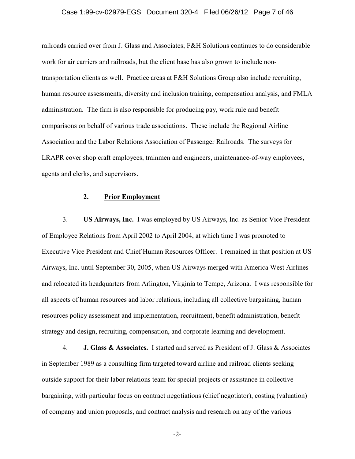#### Case 1:99-cv-02979-EGS Document 320-4 Filed 06/26/12 Page 7 of 46

railroads carried over from J. Glass and Associates; F&H Solutions continues to do considerable work for air carriers and railroads, but the client base has also grown to include nontransportation clients as well. Practice areas at F&H Solutions Group also include recruiting, human resource assessments, diversity and inclusion training, compensation analysis, and FMLA administration. The firm is also responsible for producing pay, work rule and benefit comparisons on behalf of various trade associations. These include the Regional Airline Association and the Labor Relations Association of Passenger Railroads. The surveys for LRAPR cover shop craft employees, trainmen and engineers, maintenance-of-way employees, agents and clerks, and supervisors.

#### **2. Prior Employment**

3. **US Airways, Inc.** I was employed by US Airways, Inc. as Senior Vice President of Employee Relations from April 2002 to April 2004, at which time I was promoted to Executive Vice President and Chief Human Resources Officer. I remained in that position at US Airways, Inc. until September 30, 2005, when US Airways merged with America West Airlines and relocated its headquarters from Arlington, Virginia to Tempe, Arizona. I was responsible for all aspects of human resources and labor relations, including all collective bargaining, human resources policy assessment and implementation, recruitment, benefit administration, benefit strategy and design, recruiting, compensation, and corporate learning and development.

4. **J. Glass & Associates.** I started and served as President of J. Glass & Associates in September 1989 as a consulting firm targeted toward airline and railroad clients seeking outside support for their labor relations team for special projects or assistance in collective bargaining, with particular focus on contract negotiations (chief negotiator), costing (valuation) of company and union proposals, and contract analysis and research on any of the various

-2-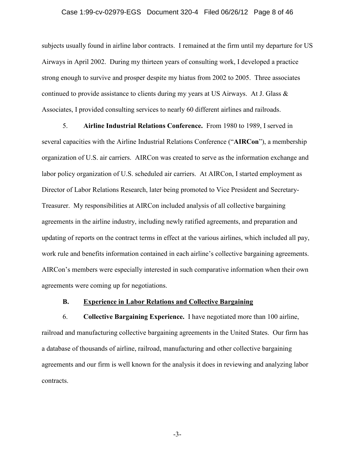#### Case 1:99-cv-02979-EGS Document 320-4 Filed 06/26/12 Page 8 of 46

subjects usually found in airline labor contracts. I remained at the firm until my departure for US Airways in April 2002. During my thirteen years of consulting work, I developed a practice strong enough to survive and prosper despite my hiatus from 2002 to 2005. Three associates continued to provide assistance to clients during my years at US Airways. At J. Glass  $\&$ Associates, I provided consulting services to nearly 60 different airlines and railroads.

5. **Airline Industrial Relations Conference.** From 1980 to 1989, I served in several capacities with the Airline Industrial Relations Conference ("**AIRCon**"), a membership organization of U.S. air carriers. AIRCon was created to serve as the information exchange and labor policy organization of U.S. scheduled air carriers. At AIRCon, I started employment as Director of Labor Relations Research, later being promoted to Vice President and Secretary-Treasurer. My responsibilities at AIRCon included analysis of all collective bargaining agreements in the airline industry, including newly ratified agreements, and preparation and updating of reports on the contract terms in effect at the various airlines, which included all pay, work rule and benefits information contained in each airline's collective bargaining agreements. AIRCon's members were especially interested in such comparative information when their own agreements were coming up for negotiations.

#### **B. Experience in Labor Relations and Collective Bargaining**

6. **Collective Bargaining Experience.** I have negotiated more than 100 airline, railroad and manufacturing collective bargaining agreements in the United States. Our firm has a database of thousands of airline, railroad, manufacturing and other collective bargaining agreements and our firm is well known for the analysis it does in reviewing and analyzing labor contracts.

-3-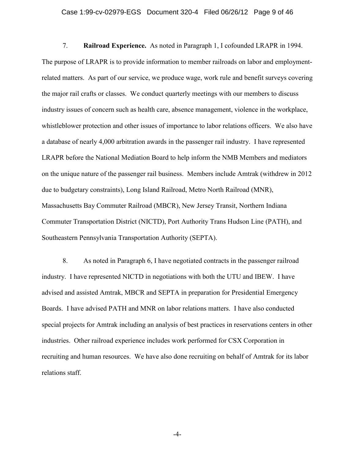#### Case 1:99-cv-02979-EGS Document 320-4 Filed 06/26/12 Page 9 of 46

7. **Railroad Experience.** As noted in Paragraph 1, I cofounded LRAPR in 1994. The purpose of LRAPR is to provide information to member railroads on labor and employmentrelated matters. As part of our service, we produce wage, work rule and benefit surveys covering the major rail crafts or classes. We conduct quarterly meetings with our members to discuss industry issues of concern such as health care, absence management, violence in the workplace, whistleblower protection and other issues of importance to labor relations officers. We also have a database of nearly 4,000 arbitration awards in the passenger rail industry. I have represented LRAPR before the National Mediation Board to help inform the NMB Members and mediators on the unique nature of the passenger rail business. Members include Amtrak (withdrew in 2012 due to budgetary constraints), Long Island Railroad, Metro North Railroad (MNR), Massachusetts Bay Commuter Railroad (MBCR), New Jersey Transit, Northern Indiana Commuter Transportation District (NICTD), Port Authority Trans Hudson Line (PATH), and Southeastern Pennsylvania Transportation Authority (SEPTA).

8. As noted in Paragraph 6, I have negotiated contracts in the passenger railroad industry. I have represented NICTD in negotiations with both the UTU and IBEW. I have advised and assisted Amtrak, MBCR and SEPTA in preparation for Presidential Emergency Boards. I have advised PATH and MNR on labor relations matters. I have also conducted special projects for Amtrak including an analysis of best practices in reservations centers in other industries. Other railroad experience includes work performed for CSX Corporation in recruiting and human resources. We have also done recruiting on behalf of Amtrak for its labor relations staff.

-4-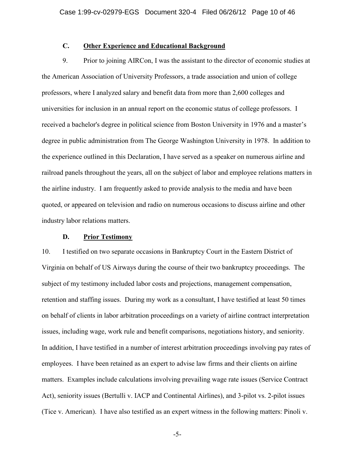# **C. Other Experience and Educational Background**

9. Prior to joining AIRCon, I was the assistant to the director of economic studies at the American Association of University Professors, a trade association and union of college professors, where I analyzed salary and benefit data from more than 2,600 colleges and universities for inclusion in an annual report on the economic status of college professors. I received a bachelor's degree in political science from Boston University in 1976 and a master's degree in public administration from The George Washington University in 1978. In addition to the experience outlined in this Declaration, I have served as a speaker on numerous airline and railroad panels throughout the years, all on the subject of labor and employee relations matters in the airline industry. I am frequently asked to provide analysis to the media and have been quoted, or appeared on television and radio on numerous occasions to discuss airline and other industry labor relations matters.

#### **D. Prior Testimony**

10. I testified on two separate occasions in Bankruptcy Court in the Eastern District of Virginia on behalf of US Airways during the course of their two bankruptcy proceedings. The subject of my testimony included labor costs and projections, management compensation, retention and staffing issues. During my work as a consultant, I have testified at least 50 times on behalf of clients in labor arbitration proceedings on a variety of airline contract interpretation issues, including wage, work rule and benefit comparisons, negotiations history, and seniority. In addition, I have testified in a number of interest arbitration proceedings involving pay rates of employees. I have been retained as an expert to advise law firms and their clients on airline matters. Examples include calculations involving prevailing wage rate issues (Service Contract Act), seniority issues (Bertulli v. IACP and Continental Airlines), and 3-pilot vs. 2-pilot issues (Tice v. American). I have also testified as an expert witness in the following matters: Pinoli v.

-5-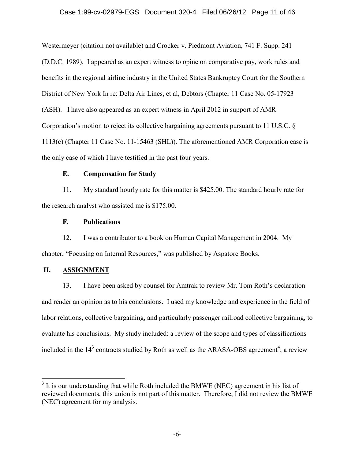#### Case 1:99-cv-02979-EGS Document 320-4 Filed 06/26/12 Page 11 of 46

Westermeyer (citation not available) and Crocker v. Piedmont Aviation, 741 F. Supp. 241 (D.D.C. 1989). I appeared as an expert witness to opine on comparative pay, work rules and benefits in the regional airline industry in the United States Bankruptcy Court for the Southern District of New York In re: Delta Air Lines, et al, Debtors (Chapter 11 Case No. 05-17923 (ASH). I have also appeared as an expert witness in April 2012 in support of AMR Corporation's motion to reject its collective bargaining agreements pursuant to 11 U.S.C. § 1113(c) (Chapter 11 Case No. 11-15463 (SHL)). The aforementioned AMR Corporation case is the only case of which I have testified in the past four years.

#### **E. Compensation for Study**

11. My standard hourly rate for this matter is \$425.00. The standard hourly rate for the research analyst who assisted me is \$175.00.

# **F. Publications**

12. I was a contributor to a book on Human Capital Management in 2004. My chapter, "Focusing on Internal Resources," was published by Aspatore Books.

# **II. ASSIGNMENT**

13. I have been asked by counsel for Amtrak to review Mr. Tom Roth's declaration and render an opinion as to his conclusions. I used my knowledge and experience in the field of labor relations, collective bargaining, and particularly passenger railroad collective bargaining, to evaluate his conclusions. My study included: a review of the scope and types of classifications included in the  $14<sup>3</sup>$  contracts studied by Roth as well as the ARASA-OBS agreement<sup>4</sup>; a review

 $3$  It is our understanding that while Roth included the BMWE (NEC) agreement in his list of reviewed documents, this union is not part of this matter. Therefore, I did not review the BMWE (NEC) agreement for my analysis.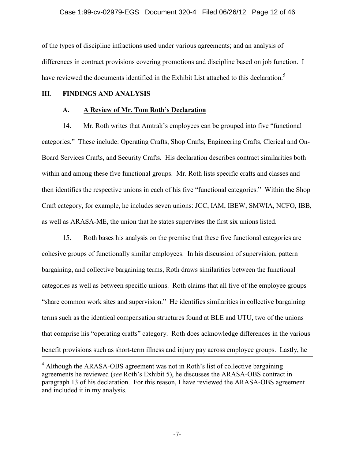#### Case 1:99-cv-02979-EGS Document 320-4 Filed 06/26/12 Page 12 of 46

of the types of discipline infractions used under various agreements; and an analysis of differences in contract provisions covering promotions and discipline based on job function. I have reviewed the documents identified in the Exhibit List attached to this declaration.<sup>5</sup>

#### **III**. **FINDINGS AND ANALYSIS**

#### **A. A Review of Mr. Tom Roth's Declaration**

14. Mr. Roth writes that Amtrak's employees can be grouped into five "functional categories." These include: Operating Crafts, Shop Crafts, Engineering Crafts, Clerical and On-Board Services Crafts, and Security Crafts. His declaration describes contract similarities both within and among these five functional groups. Mr. Roth lists specific crafts and classes and then identifies the respective unions in each of his five "functional categories." Within the Shop Craft category, for example, he includes seven unions: JCC, IAM, IBEW, SMWIA, NCFO, IBB, as well as ARASA-ME, the union that he states supervises the first six unions listed.

15. Roth bases his analysis on the premise that these five functional categories are cohesive groups of functionally similar employees. In his discussion of supervision, pattern bargaining, and collective bargaining terms, Roth draws similarities between the functional categories as well as between specific unions. Roth claims that all five of the employee groups "share common work sites and supervision." He identifies similarities in collective bargaining terms such as the identical compensation structures found at BLE and UTU, two of the unions that comprise his "operating crafts" category. Roth does acknowledge differences in the various benefit provisions such as short-term illness and injury pay across employee groups. Lastly, he

-7-

<sup>&</sup>lt;sup>4</sup> Although the ARASA-OBS agreement was not in Roth's list of collective bargaining agreements he reviewed (*see* Roth's Exhibit 5), he discusses the ARASA-OBS contract in paragraph 13 of his declaration. For this reason, I have reviewed the ARASA-OBS agreement and included it in my analysis.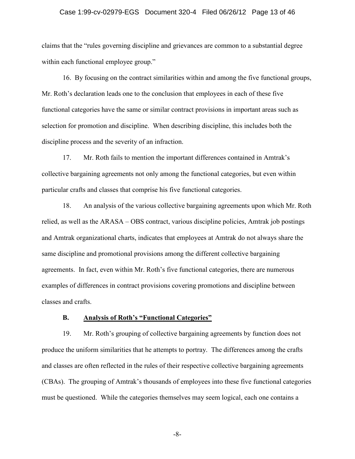#### Case 1:99-cv-02979-EGS Document 320-4 Filed 06/26/12 Page 13 of 46

claims that the "rules governing discipline and grievances are common to a substantial degree within each functional employee group."

16. By focusing on the contract similarities within and among the five functional groups, Mr. Roth's declaration leads one to the conclusion that employees in each of these five functional categories have the same or similar contract provisions in important areas such as selection for promotion and discipline. When describing discipline, this includes both the discipline process and the severity of an infraction.

17. Mr. Roth fails to mention the important differences contained in Amtrak's collective bargaining agreements not only among the functional categories, but even within particular crafts and classes that comprise his five functional categories.

18. An analysis of the various collective bargaining agreements upon which Mr. Roth relied, as well as the ARASA – OBS contract, various discipline policies, Amtrak job postings and Amtrak organizational charts, indicates that employees at Amtrak do not always share the same discipline and promotional provisions among the different collective bargaining agreements. In fact, even within Mr. Roth's five functional categories, there are numerous examples of differences in contract provisions covering promotions and discipline between classes and crafts.

#### **B. Analysis of Roth's "Functional Categories"**

19. Mr. Roth's grouping of collective bargaining agreements by function does not produce the uniform similarities that he attempts to portray. The differences among the crafts and classes are often reflected in the rules of their respective collective bargaining agreements (CBAs). The grouping of Amtrak's thousands of employees into these five functional categories must be questioned. While the categories themselves may seem logical, each one contains a

-8-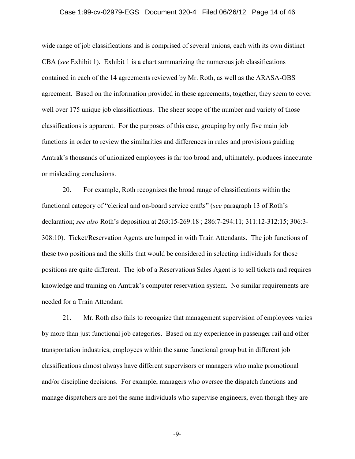#### Case 1:99-cv-02979-EGS Document 320-4 Filed 06/26/12 Page 14 of 46

wide range of job classifications and is comprised of several unions, each with its own distinct CBA (*see* Exhibit 1). Exhibit 1 is a chart summarizing the numerous job classifications contained in each of the 14 agreements reviewed by Mr. Roth, as well as the ARASA-OBS agreement. Based on the information provided in these agreements, together, they seem to cover well over 175 unique job classifications. The sheer scope of the number and variety of those classifications is apparent. For the purposes of this case, grouping by only five main job functions in order to review the similarities and differences in rules and provisions guiding Amtrak's thousands of unionized employees is far too broad and, ultimately, produces inaccurate or misleading conclusions.

20. For example, Roth recognizes the broad range of classifications within the functional category of "clerical and on-board service crafts" (*see* paragraph 13 of Roth's declaration; *see also* Roth's deposition at 263:15-269:18 ; 286:7-294:11; 311:12-312:15; 306:3- 308:10). Ticket/Reservation Agents are lumped in with Train Attendants. The job functions of these two positions and the skills that would be considered in selecting individuals for those positions are quite different. The job of a Reservations Sales Agent is to sell tickets and requires knowledge and training on Amtrak's computer reservation system. No similar requirements are needed for a Train Attendant.

21. Mr. Roth also fails to recognize that management supervision of employees varies by more than just functional job categories. Based on my experience in passenger rail and other transportation industries, employees within the same functional group but in different job classifications almost always have different supervisors or managers who make promotional and/or discipline decisions. For example, managers who oversee the dispatch functions and manage dispatchers are not the same individuals who supervise engineers, even though they are

-9-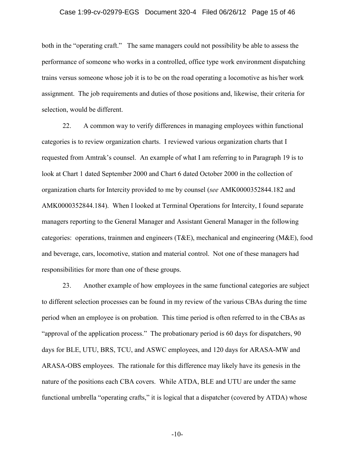#### Case 1:99-cv-02979-EGS Document 320-4 Filed 06/26/12 Page 15 of 46

both in the "operating craft." The same managers could not possibility be able to assess the performance of someone who works in a controlled, office type work environment dispatching trains versus someone whose job it is to be on the road operating a locomotive as his/her work assignment. The job requirements and duties of those positions and, likewise, their criteria for selection, would be different.

22. A common way to verify differences in managing employees within functional categories is to review organization charts. I reviewed various organization charts that I requested from Amtrak's counsel. An example of what I am referring to in Paragraph 19 is to look at Chart 1 dated September 2000 and Chart 6 dated October 2000 in the collection of organization charts for Intercity provided to me by counsel (*see* AMK0000352844.182 and AMK0000352844.184). When I looked at Terminal Operations for Intercity, I found separate managers reporting to the General Manager and Assistant General Manager in the following categories: operations, trainmen and engineers (T&E), mechanical and engineering (M&E), food and beverage, cars, locomotive, station and material control. Not one of these managers had responsibilities for more than one of these groups.

23. Another example of how employees in the same functional categories are subject to different selection processes can be found in my review of the various CBAs during the time period when an employee is on probation. This time period is often referred to in the CBAs as "approval of the application process." The probationary period is 60 days for dispatchers, 90 days for BLE, UTU, BRS, TCU, and ASWC employees, and 120 days for ARASA-MW and ARASA-OBS employees. The rationale for this difference may likely have its genesis in the nature of the positions each CBA covers. While ATDA, BLE and UTU are under the same functional umbrella "operating crafts," it is logical that a dispatcher (covered by ATDA) whose

-10-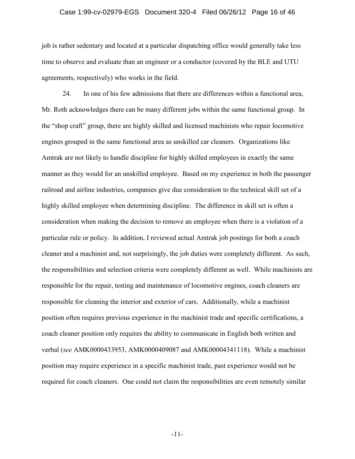#### Case 1:99-cv-02979-EGS Document 320-4 Filed 06/26/12 Page 16 of 46

job is rather sedentary and located at a particular dispatching office would generally take less time to observe and evaluate than an engineer or a conductor (covered by the BLE and UTU agreements, respectively) who works in the field.

24. In one of his few admissions that there are differences within a functional area, Mr. Roth acknowledges there can be many different jobs within the same functional group. In the "shop craft" group, there are highly skilled and licensed machinists who repair locomotive engines grouped in the same functional area as unskilled car cleaners. Organizations like Amtrak are not likely to handle discipline for highly skilled employees in exactly the same manner as they would for an unskilled employee. Based on my experience in both the passenger railroad and airline industries, companies give due consideration to the technical skill set of a highly skilled employee when determining discipline. The difference in skill set is often a consideration when making the decision to remove an employee when there is a violation of a particular rule or policy. In addition, I reviewed actual Amtrak job postings for both a coach cleaner and a machinist and, not surprisingly, the job duties were completely different. As such, the responsibilities and selection criteria were completely different as well. While machinists are responsible for the repair, testing and maintenance of locomotive engines, coach cleaners are responsible for cleaning the interior and exterior of cars. Additionally, while a machinist position often requires previous experience in the machinist trade and specific certifications, a coach cleaner position only requires the ability to communicate in English both written and verbal (*see* AMK0000433953, AMK0000409087 and AMK00004341118). While a machinist position may require experience in a specific machinist trade, past experience would not be required for coach cleaners. One could not claim the responsibilities are even remotely similar

-11-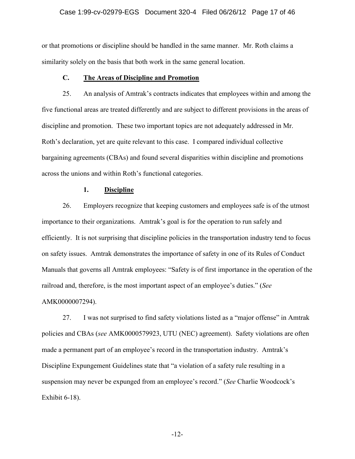# Case 1:99-cv-02979-EGS Document 320-4 Filed 06/26/12 Page 17 of 46

or that promotions or discipline should be handled in the same manner. Mr. Roth claims a similarity solely on the basis that both work in the same general location.

#### **C. The Areas of Discipline and Promotion**

25. An analysis of Amtrak's contracts indicates that employees within and among the five functional areas are treated differently and are subject to different provisions in the areas of discipline and promotion. These two important topics are not adequately addressed in Mr. Roth's declaration, yet are quite relevant to this case. I compared individual collective bargaining agreements (CBAs) and found several disparities within discipline and promotions across the unions and within Roth's functional categories.

#### **1. Discipline**

26. Employers recognize that keeping customers and employees safe is of the utmost importance to their organizations. Amtrak's goal is for the operation to run safely and efficiently. It is not surprising that discipline policies in the transportation industry tend to focus on safety issues. Amtrak demonstrates the importance of safety in one of its Rules of Conduct Manuals that governs all Amtrak employees: "Safety is of first importance in the operation of the railroad and, therefore, is the most important aspect of an employee's duties." (*See* AMK0000007294).

27. I was not surprised to find safety violations listed as a "major offense" in Amtrak policies and CBAs (*see* AMK0000579923, UTU (NEC) agreement). Safety violations are often made a permanent part of an employee's record in the transportation industry. Amtrak's Discipline Expungement Guidelines state that "a violation of a safety rule resulting in a suspension may never be expunged from an employee's record." (*See* Charlie Woodcock's Exhibit 6-18).

-12-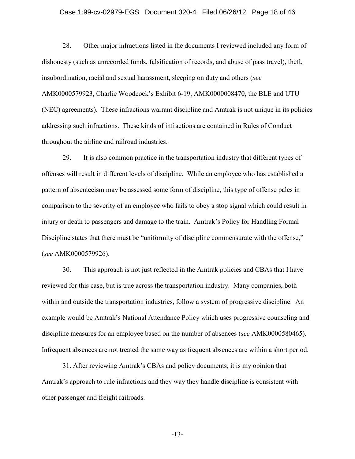# Case 1:99-cv-02979-EGS Document 320-4 Filed 06/26/12 Page 18 of 46

28. Other major infractions listed in the documents I reviewed included any form of dishonesty (such as unrecorded funds, falsification of records, and abuse of pass travel), theft, insubordination, racial and sexual harassment, sleeping on duty and others (*see* AMK0000579923, Charlie Woodcock's Exhibit 6-19, AMK0000008470, the BLE and UTU (NEC) agreements). These infractions warrant discipline and Amtrak is not unique in its policies addressing such infractions. These kinds of infractions are contained in Rules of Conduct throughout the airline and railroad industries.

29. It is also common practice in the transportation industry that different types of offenses will result in different levels of discipline. While an employee who has established a pattern of absenteeism may be assessed some form of discipline, this type of offense pales in comparison to the severity of an employee who fails to obey a stop signal which could result in injury or death to passengers and damage to the train. Amtrak's Policy for Handling Formal Discipline states that there must be "uniformity of discipline commensurate with the offense," (*see* AMK0000579926).

30. This approach is not just reflected in the Amtrak policies and CBAs that I have reviewed for this case, but is true across the transportation industry. Many companies, both within and outside the transportation industries, follow a system of progressive discipline. An example would be Amtrak's National Attendance Policy which uses progressive counseling and discipline measures for an employee based on the number of absences (*see* AMK0000580465). Infrequent absences are not treated the same way as frequent absences are within a short period.

31. After reviewing Amtrak's CBAs and policy documents, it is my opinion that Amtrak's approach to rule infractions and they way they handle discipline is consistent with other passenger and freight railroads.

-13-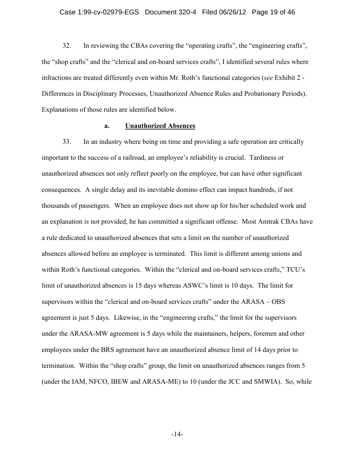#### Case 1:99-cv-02979-EGS Document 320-4 Filed 06/26/12 Page 19 of 46

32. In reviewing the CBAs covering the "operating crafts", the "engineering crafts", the "shop crafts" and the "clerical and on-board services crafts", I identified several rules where infractions are treated differently even within Mr. Roth's functional categories (*see* Exhibit 2 - Differences in Disciplinary Processes, Unauthorized Absence Rules and Probationary Periods). Explanations of those rules are identified below.

#### **a. Unauthorized Absences**

33. In an industry where being on time and providing a safe operation are critically important to the success of a railroad, an employee's reliability is crucial. Tardiness or unauthorized absences not only reflect poorly on the employee, but can have other significant consequences. A single delay and its inevitable domino effect can impact hundreds, if not thousands of passengers. When an employee does not show up for his/her scheduled work and an explanation is not provided, he has committed a significant offense. Most Amtrak CBAs have a rule dedicated to unauthorized absences that sets a limit on the number of unauthorized absences allowed before an employee is terminated. This limit is different among unions and within Roth's functional categories. Within the "clerical and on-board services crafts," TCU's limit of unauthorized absences is 15 days whereas ASWC's limit is 10 days. The limit for supervisors within the "clerical and on-board services crafts" under the ARASA – OBS agreement is just 5 days. Likewise, in the "engineering crafts," the limit for the supervisors under the ARASA-MW agreement is 5 days while the maintainers, helpers, foremen and other employees under the BRS agreement have an unauthorized absence limit of 14 days prior to termination. Within the "shop crafts" group, the limit on unauthorized absences ranges from 5 (under the IAM, NFCO, IBEW and ARASA-ME) to 10 (under the JCC and SMWIA). So, while

-14-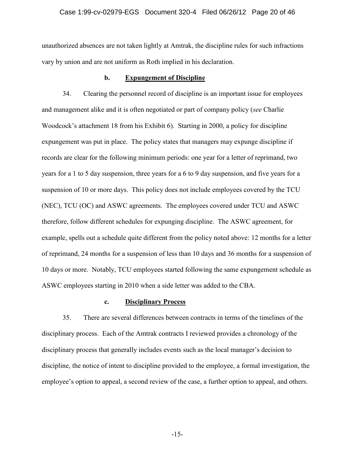#### Case 1:99-cv-02979-EGS Document 320-4 Filed 06/26/12 Page 20 of 46

unauthorized absences are not taken lightly at Amtrak, the discipline rules for such infractions vary by union and are not uniform as Roth implied in his declaration.

#### **b. Expungement of Discipline**

34. Clearing the personnel record of discipline is an important issue for employees and management alike and it is often negotiated or part of company policy (*see* Charlie Woodcock's attachment 18 from his Exhibit 6). Starting in 2000, a policy for discipline expungement was put in place. The policy states that managers may expunge discipline if records are clear for the following minimum periods: one year for a letter of reprimand, two years for a 1 to 5 day suspension, three years for a 6 to 9 day suspension, and five years for a suspension of 10 or more days. This policy does not include employees covered by the TCU (NEC), TCU (OC) and ASWC agreements. The employees covered under TCU and ASWC therefore, follow different schedules for expunging discipline. The ASWC agreement, for example, spells out a schedule quite different from the policy noted above: 12 months for a letter of reprimand, 24 months for a suspension of less than 10 days and 36 months for a suspension of 10 days or more. Notably, TCU employees started following the same expungement schedule as ASWC employees starting in 2010 when a side letter was added to the CBA.

#### **c. Disciplinary Process**

35. There are several differences between contracts in terms of the timelines of the disciplinary process. Each of the Amtrak contracts I reviewed provides a chronology of the disciplinary process that generally includes events such as the local manager's decision to discipline, the notice of intent to discipline provided to the employee, a formal investigation, the employee's option to appeal, a second review of the case, a further option to appeal, and others.

-15-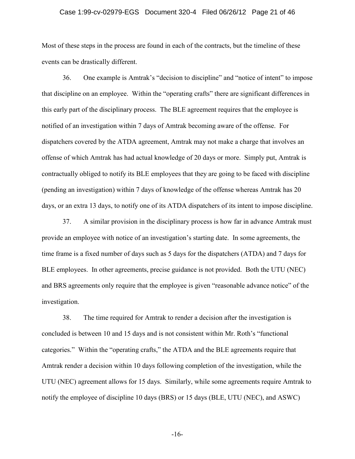#### Case 1:99-cv-02979-EGS Document 320-4 Filed 06/26/12 Page 21 of 46

Most of these steps in the process are found in each of the contracts, but the timeline of these events can be drastically different.

36. One example is Amtrak's "decision to discipline" and "notice of intent" to impose that discipline on an employee. Within the "operating crafts" there are significant differences in this early part of the disciplinary process. The BLE agreement requires that the employee is notified of an investigation within 7 days of Amtrak becoming aware of the offense. For dispatchers covered by the ATDA agreement, Amtrak may not make a charge that involves an offense of which Amtrak has had actual knowledge of 20 days or more. Simply put, Amtrak is contractually obliged to notify its BLE employees that they are going to be faced with discipline (pending an investigation) within 7 days of knowledge of the offense whereas Amtrak has 20 days, or an extra 13 days, to notify one of its ATDA dispatchers of its intent to impose discipline.

37. A similar provision in the disciplinary process is how far in advance Amtrak must provide an employee with notice of an investigation's starting date. In some agreements, the time frame is a fixed number of days such as 5 days for the dispatchers (ATDA) and 7 days for BLE employees. In other agreements, precise guidance is not provided. Both the UTU (NEC) and BRS agreements only require that the employee is given "reasonable advance notice" of the investigation.

38. The time required for Amtrak to render a decision after the investigation is concluded is between 10 and 15 days and is not consistent within Mr. Roth's "functional categories." Within the "operating crafts," the ATDA and the BLE agreements require that Amtrak render a decision within 10 days following completion of the investigation, while the UTU (NEC) agreement allows for 15 days. Similarly, while some agreements require Amtrak to notify the employee of discipline 10 days (BRS) or 15 days (BLE, UTU (NEC), and ASWC)

-16-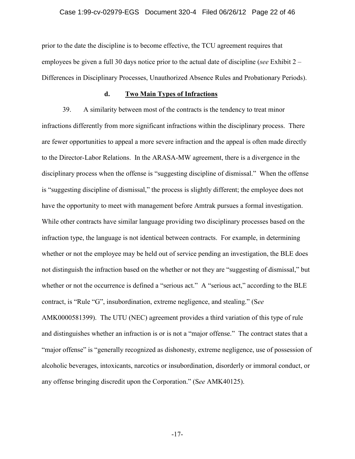#### Case 1:99-cv-02979-EGS Document 320-4 Filed 06/26/12 Page 22 of 46

prior to the date the discipline is to become effective, the TCU agreement requires that employees be given a full 30 days notice prior to the actual date of discipline (*see* Exhibit 2 – Differences in Disciplinary Processes, Unauthorized Absence Rules and Probationary Periods).

#### **d. Two Main Types of Infractions**

39. A similarity between most of the contracts is the tendency to treat minor infractions differently from more significant infractions within the disciplinary process. There are fewer opportunities to appeal a more severe infraction and the appeal is often made directly to the Director-Labor Relations. In the ARASA-MW agreement, there is a divergence in the disciplinary process when the offense is "suggesting discipline of dismissal." When the offense is "suggesting discipline of dismissal," the process is slightly different; the employee does not have the opportunity to meet with management before Amtrak pursues a formal investigation. While other contracts have similar language providing two disciplinary processes based on the infraction type, the language is not identical between contracts. For example, in determining whether or not the employee may be held out of service pending an investigation, the BLE does not distinguish the infraction based on the whether or not they are "suggesting of dismissal," but whether or not the occurrence is defined a "serious act." A "serious act," according to the BLE contract, is "Rule "G", insubordination, extreme negligence, and stealing." (S*ee* AMK0000581399). The UTU (NEC) agreement provides a third variation of this type of rule and distinguishes whether an infraction is or is not a "major offense." The contract states that a "major offense" is "generally recognized as dishonesty, extreme negligence, use of possession of alcoholic beverages, intoxicants, narcotics or insubordination, disorderly or immoral conduct, or any offense bringing discredit upon the Corporation." (S*ee* AMK40125).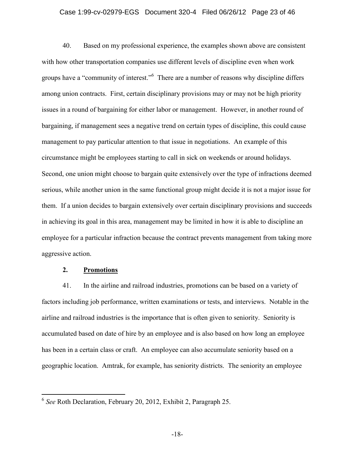#### Case 1:99-cv-02979-EGS Document 320-4 Filed 06/26/12 Page 23 of 46

40. Based on my professional experience, the examples shown above are consistent with how other transportation companies use different levels of discipline even when work groups have a "community of interest." There are a number of reasons why discipline differs among union contracts. First, certain disciplinary provisions may or may not be high priority issues in a round of bargaining for either labor or management. However, in another round of bargaining, if management sees a negative trend on certain types of discipline, this could cause management to pay particular attention to that issue in negotiations. An example of this circumstance might be employees starting to call in sick on weekends or around holidays. Second, one union might choose to bargain quite extensively over the type of infractions deemed serious, while another union in the same functional group might decide it is not a major issue for them. If a union decides to bargain extensively over certain disciplinary provisions and succeeds in achieving its goal in this area, management may be limited in how it is able to discipline an employee for a particular infraction because the contract prevents management from taking more aggressive action.

#### **2. Promotions**

41. In the airline and railroad industries, promotions can be based on a variety of factors including job performance, written examinations or tests, and interviews. Notable in the airline and railroad industries is the importance that is often given to seniority. Seniority is accumulated based on date of hire by an employee and is also based on how long an employee has been in a certain class or craft. An employee can also accumulate seniority based on a geographic location. Amtrak, for example, has seniority districts. The seniority an employee

<sup>6</sup> *See* Roth Declaration, February 20, 2012, Exhibit 2, Paragraph 25.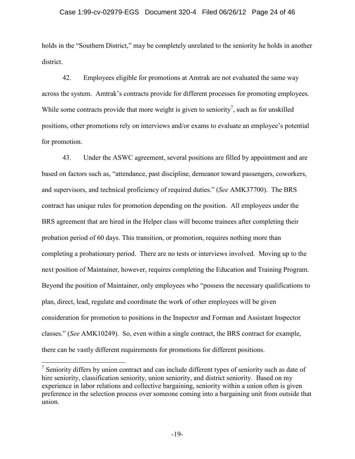#### Case 1:99-cv-02979-EGS Document 320-4 Filed 06/26/12 Page 24 of 46

holds in the "Southern District," may be completely unrelated to the seniority he holds in another district.

42. Employees eligible for promotions at Amtrak are not evaluated the same way across the system. Amtrak's contracts provide for different processes for promoting employees. While some contracts provide that more weight is given to seniority<sup>7</sup>, such as for unskilled positions, other promotions rely on interviews and/or exams to evaluate an employee's potential for promotion.

43. Under the ASWC agreement, several positions are filled by appointment and are based on factors such as, "attendance, past discipline, demeanor toward passengers, coworkers, and supervisors, and technical proficiency of required duties." (*See* AMK37700). The BRS contract has unique rules for promotion depending on the position. All employees under the BRS agreement that are hired in the Helper class will become trainees after completing their probation period of 60 days. This transition, or promotion, requires nothing more than completing a probationary period. There are no tests or interviews involved. Moving up to the next position of Maintainer, however, requires completing the Education and Training Program. Beyond the position of Maintainer, only employees who "possess the necessary qualifications to plan, direct, lead, regulate and coordinate the work of other employees will be given consideration for promotion to positions in the Inspector and Forman and Assistant Inspector classes." (*See* AMK10249). So, even within a single contract, the BRS contract for example, there can be vastly different requirements for promotions for different positions.

 $<sup>7</sup>$  Seniority differs by union contract and can include different types of seniority such as date of</sup> hire seniority, classification seniority, union seniority, and district seniority. Based on my experience in labor relations and collective bargaining, seniority within a union often is given preference in the selection process over someone coming into a bargaining unit from outside that union.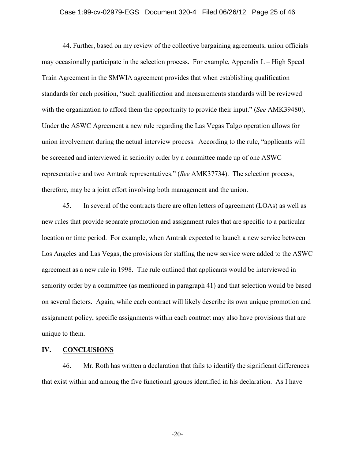#### Case 1:99-cv-02979-EGS Document 320-4 Filed 06/26/12 Page 25 of 46

44. Further, based on my review of the collective bargaining agreements, union officials may occasionally participate in the selection process. For example, Appendix L – High Speed Train Agreement in the SMWIA agreement provides that when establishing qualification standards for each position, "such qualification and measurements standards will be reviewed with the organization to afford them the opportunity to provide their input." (*See* AMK39480). Under the ASWC Agreement a new rule regarding the Las Vegas Talgo operation allows for union involvement during the actual interview process. According to the rule, "applicants will be screened and interviewed in seniority order by a committee made up of one ASWC representative and two Amtrak representatives." (*See* AMK37734). The selection process, therefore, may be a joint effort involving both management and the union.

45. In several of the contracts there are often letters of agreement (LOAs) as well as new rules that provide separate promotion and assignment rules that are specific to a particular location or time period. For example, when Amtrak expected to launch a new service between Los Angeles and Las Vegas, the provisions for staffing the new service were added to the ASWC agreement as a new rule in 1998. The rule outlined that applicants would be interviewed in seniority order by a committee (as mentioned in paragraph 41) and that selection would be based on several factors. Again, while each contract will likely describe its own unique promotion and assignment policy, specific assignments within each contract may also have provisions that are unique to them.

#### **IV. CONCLUSIONS**

46. Mr. Roth has written a declaration that fails to identify the significant differences that exist within and among the five functional groups identified in his declaration. As I have

-20-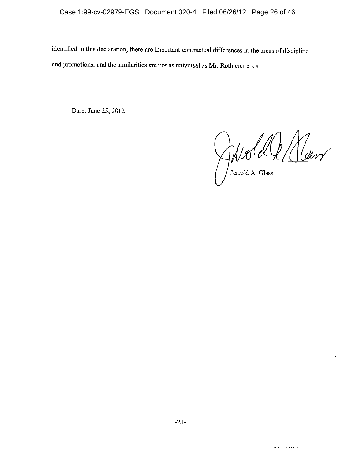identified in this declaration, there are important contractual differences in the areas of discipline and promotions, and the similarities are not as universal as Mr. Roth contends.

Date: June 25, 2012

Raw Jerrold A. Glass

. The main constraint is a set of the set of the set  $\mathcal{L}_\mathcal{S}$ 

والمتفاضل والمتناد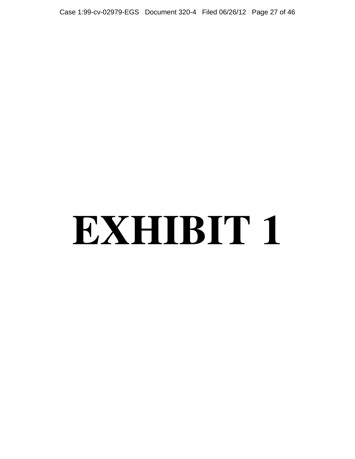Case 1:99-cv-02979-EGS Document 320-4 Filed 06/26/12 Page 27 of 46

# **EXHIBIT 1**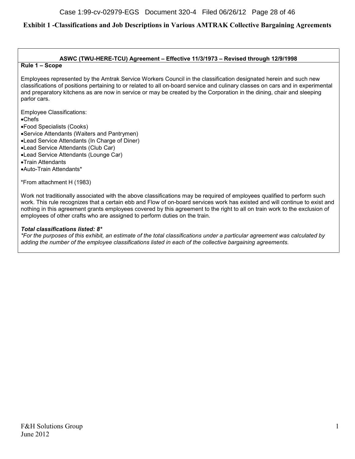#### **ASWC (TWU-HERE-TCU) Agreement – Effective 11/3/1973 – Revised through 12/9/1998**

#### **Rule 1 – Scope**

Employees represented by the Amtrak Service Workers Council in the classification designated herein and such new classifications of positions pertaining to or related to all on-board service and culinary classes on cars and in experimental and preparatory kitchens as are now in service or may be created by the Corporation in the dining, chair and sleeping parlor cars.

Employee Classifications:

Chefs

Food Specialists (Cooks)

- Service Attendants (Waiters and Pantrymen)
- Lead Service Attendants (In Charge of Diner)
- Lead Service Attendants (Club Car)
- Lead Service Attendants (Lounge Car)
- Train Attendants
- Auto-Train Attendants\*

\*From attachment H (1983)

Work not traditionally associated with the above classifications may be required of employees qualified to perform such work. This rule recognizes that a certain ebb and Flow of on-board services work has existed and will continue to exist and nothing in this agreement grants employees covered by this agreement to the right to all on train work to the exclusion of employees of other crafts who are assigned to perform duties on the train.

#### *Total classifications listed: 8\**

*\*For the purposes of this exhibit, an estimate of the total classifications under a particular agreement was calculated by adding the number of the employee classifications listed in each of the collective bargaining agreements.*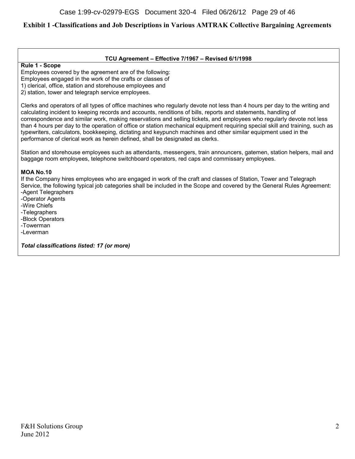#### **TCU Agreement – Effective 7/1967 – Revised 6/1/1998**

#### **Rule 1 - Scope**

Employees covered by the agreement are of the following: Employees engaged in the work of the crafts or classes of 1) clerical, office, station and storehouse employees and 2) station, tower and telegraph service employees.

Clerks and operators of all types of office machines who regularly devote not less than 4 hours per day to the writing and calculating incident to keeping records and accounts, renditions of bills, reports and statements, handling of correspondence and similar work, making reservations and selling tickets, and employees who regularly devote not less than 4 hours per day to the operation of office or station mechanical equipment requiring special skill and training, such as typewriters, calculators, bookkeeping, dictating and keypunch machines and other similar equipment used in the performance of clerical work as herein defined, shall be designated as clerks.

Station and storehouse employees such as attendants, messengers, train announcers, gatemen, station helpers, mail and baggage room employees, telephone switchboard operators, red caps and commissary employees.

#### **MOA No.10**

If the Company hires employees who are engaged in work of the craft and classes of Station, Tower and Telegraph Service, the following typical job categories shall be included in the Scope and covered by the General Rules Agreement: -Agent Telegraphers

-Operator Agents -Wire Chiefs -Telegraphers

-Block Operators

-Towerman

-Leverman

*Total classifications listed: 17 (or more)*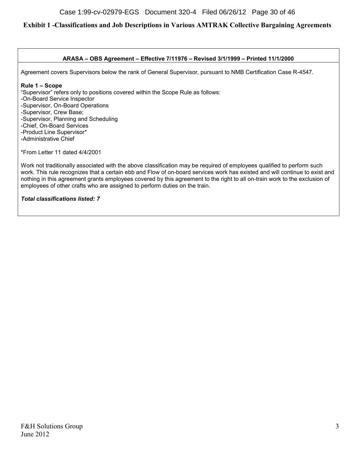#### **ARASA – OBS Agreement – Effective 7/11976 – Revised 3/1/1999 – Printed 11/1/2000**

Agreement covers Supervisors below the rank of General Supervisor, pursuant to NMB Certification Case R-4547.

#### **Rule 1 – Scope**

"Supervisor" refers only to positions covered within the Scope Rule as follows:

-On-Board Service Inspector

-Supervisor, On-Board Operations

-Supervisor, Crew Base;

-Supervisor, Planning and Scheduling

-Chief, On-Board Services

-Product Line Supervisor\*

-Administrative Chief

\*From Letter 11 dated 4/4/2001

Work not traditionally associated with the above classification may be required of employees qualified to perform such work. This rule recognizes that a certain ebb and Flow of on-board services work has existed and will continue to exist and nothing in this agreement grants employees covered by this agreement to the right to all on-train work to the exclusion of employees of other crafts who are assigned to perform duties on the train.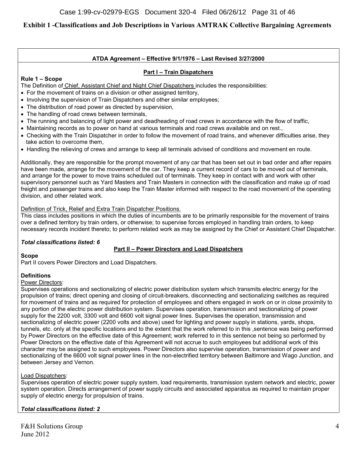### **ATDA Agreement – Effective 9/1/1976 – Last Revised 3/27/2000**

#### **Part I – Train Dispatchers**

#### **Rule 1 – Scope**

The Definition of Chief, Assistant Chief and Night Chief Dispatchers includes the responsibilities:

- For the movement of trains on a division or other assigned territory,
- Involving the supervision of Train Dispatchers and other similar employees;
- The distribution of road power as directed by supervision,
- The handling of road crews between terminals,
- The running and balancing of light power and deadheading of road crews in accordance with the flow of traffic,
- Maintaining records as to power on hand at various terminals and road crews available and on rest.,
- Checking with the Train Dispatcher in order to follow the movement of road trains, and whenever difficulties arise, they take action to overcome them,
- Handling the relieving of crews and arrange to keep all terminals advised of conditions and movement en route.

Additionally, they are responsible for the prompt movement of any car that has been set out in bad order and after repairs have been made, arrange for the movement of the car. They keep a current record of cars to be moved out of terminals, and arrange for the power to move trains scheduled out of terminals. They keep in contact with and work with other supervisory personnel such as Yard Masters and Train Masters in connection with the classification and make up of road freight and passenger trains and also keep the Train Master informed with respect to the road movement of the operating division, and other related work.

#### Definition of Trick, Relief and Extra Train Dispatcher Positions.

This class includes positions in which the duties of incumbents are to be primarily responsible for the movement of trains over a defined territory by train orders, or otherwise; to supervise forces employed in handling train orders, to keep necessary records incident thereto; to perform related work as may be assigned by the Chief or Assistant Chief Dispatcher.

#### *Total classifications listed: 6*

# **Part II – Power Directors and Load Dispatchers**

**Scope**

Part II covers Power Directors and Load Dispatchers.

#### **Definitions**

#### Power Directors:

Supervises operations and sectionalizing of electric power distribution system which transmits electric energy for the propulsion of trains; direct opening and closing of circuit-breakers, disconnecting and sectionalizing switches as required for movement of trains and as required for protection of employees and others engaged in work on or in close proximity to any portion of the electric power distribution system. Supervises operation, transmission and sectionalizing of power supply for the 2200 volt, 3300 volt and 6600 volt signal power lines. Supervises the operation, transmission and sectionalizing of electric power (2200 volts and above) used for lighting and power supply in stations, yards, shops, tunnels, etc. only at the specific locations and to the extent that the work referred to in this ,sentence was being performed by Power Directors on the effective date of this Agreement; work referred to in this sentence not being so performed by Power Directors on the effective date of this Agreement will not accrue to such employees but additional work of this character may be assigned to such employees. Power Directors also supervise operation, transmission of power and sectionalizing of the 6600 volt signal power lines in the non-electrified territory between Baltimore and Wago Junction, and between Jersey and Vernon.

#### Load Dispatchers:

Supervises operation of electric power supply system, load requirements, transmission system network and electric, power system operation. Directs arrangement of power supply circuits and associated apparatus as required to maintain proper supply of electric energy for propulsion of trains.

#### *Total classifications listed: 2*

F&H Solutions Group 4 June 2012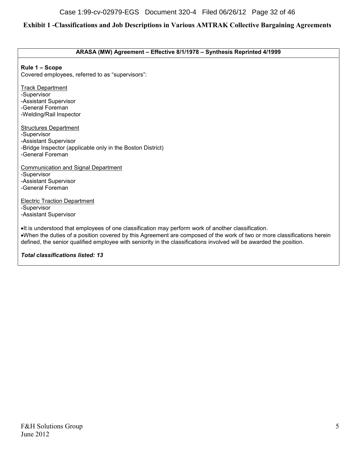#### **ARASA (MW) Agreement – Effective 8/1/1978 – Synthesis Reprinted 4/1999**

**Rule 1 – Scope**

Covered employees, referred to as "supervisors":

**Track Department** -Supervisor -Assistant Supervisor -General Foreman -Welding/Rail Inspector Structures Department -Supervisor -Assistant Supervisor -Bridge Inspector (applicable only in the Boston District) -General Foreman Communication and Signal Department -Supervisor -Assistant Supervisor -General Foreman Electric Traction Department -Supervisor -Assistant Supervisor It is understood that employees of one classification may perform work of another classification. When the duties of a position covered by this Agreement are composed of the work of two or more classifications herein defined, the senior qualified employee with seniority in the classifications involved will be awarded the position.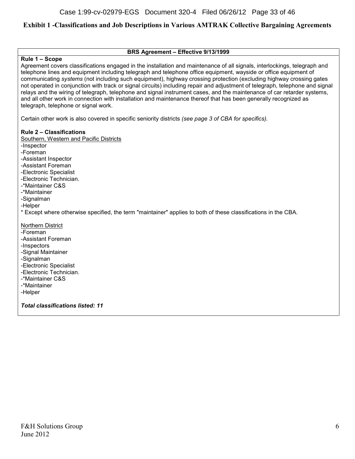#### **BRS Agreement – Effective 9/13/1999**

#### **Rule 1 – Scope**

Agreement covers classifications engaged in the installation and maintenance of all signals, interlockings, telegraph and telephone lines and equipment including telegraph and telephone office equipment, wayside or office equipment of communicating *systems* (not including such equipment), highway crossing protection (excluding highway crossing gates not operated in conjunction with track or signal circuits) including repair and adjustment of telegraph, telephone and signal relays and the wiring of telegraph, telephone and signal instrument cases, and the maintenance of car retarder systems, and all other work in connection with installation and maintenance thereof that has been generally recognized as telegraph, telephone or signal work.

Certain other work is also covered in specific seniority districts *(see page 3 of CBA for specifics).*

#### **Rule 2 – Classifications**

Southern, Western and Pacific Districts

- -Inspector
- -Foreman
- -Assistant Inspector
- -Assistant Foreman
- -Electronic Specialist
- -Electronic Technician.
- -\*Maintainer C&S
- -\*Maintainer
- -Signalman
- -Helper
- \* Except where otherwise specified, the term "maintainer" applies to both of these classifications in the CBA.

#### Northern District

- -Foreman
- -Assistant Foreman
- -Inspectors
- -Signal Maintainer
- -Signalman
- -Electronic Specialist
- -Electronic Technician.
- -\*Maintainer C&S
- -\*Maintainer
- -Helper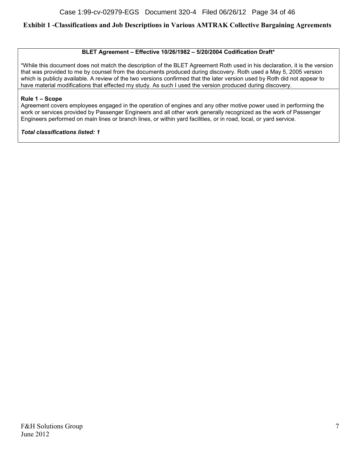#### **BLET Agreement – Effective 10/26/1982 – 5/20/2004 Codification Draft\***

\*While this document does not match the description of the BLET Agreement Roth used in his declaration, it is the version that was provided to me by counsel from the documents produced during discovery. Roth used a May 5, 2005 version which is publicly available. A review of the two versions confirmed that the later version used by Roth did not appear to have material modifications that effected my study. As such I used the version produced during discovery.

#### **Rule 1 – Scope**

Agreement covers employees engaged in the operation of engines and any other motive power used in performing the work or services provided by Passenger Engineers and all other work generally recognized as the work of Passenger Engineers performed on main lines or branch lines, or within yard facilities, or in road, local, or yard service.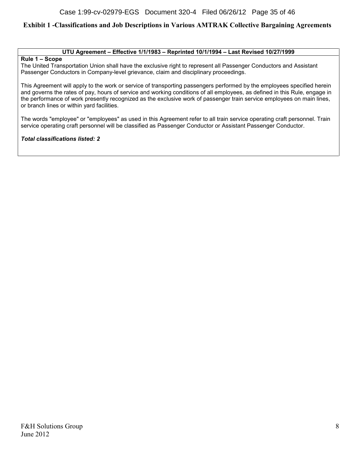#### **UTU Agreement – Effective 1/1/1983 – Reprinted 10/1/1994 – Last Revised 10/27/1999**

#### **Rule 1 – Scope**

The United Transportation Union shall have the exclusive right to represent all Passenger Conductors and Assistant Passenger Conductors in Company-level grievance, claim and disciplinary proceedings.

This Agreement will apply to the work or service of transporting passengers performed by the employees specified herein and governs the rates of pay, hours of service and working conditions of all employees, as defined in this Rule, engage in the performance of work presently recognized as the exclusive work of passenger train service employees on main lines, or branch lines or within yard facilities.

The words "employee" or "employees" as used in this Agreement refer to all train service operating craft personnel. Train service operating craft personnel will be classified as Passenger Conductor or Assistant Passenger Conductor.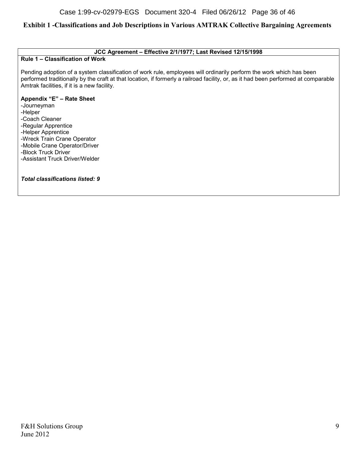#### **JCC Agreement – Effective 2/1/1977; Last Revised 12/15/1998**

#### **Rule 1 – Classification of Work**

Pending adoption of a system classification of work rule, employees will ordinarily perform the work which has been performed traditionally by the craft at that location, if formerly a railroad facility, or, as it had been performed at comparable Amtrak facilities, if it is a new facility.

#### **Appendix "E" – Rate Sheet**

-Journeyman -Helper -Coach Cleaner -Regular Apprentice -Helper Apprentice -Wreck Train Crane Operator -Mobile Crane Operator/Driver -Block Truck Driver -Assistant Truck Driver/Welder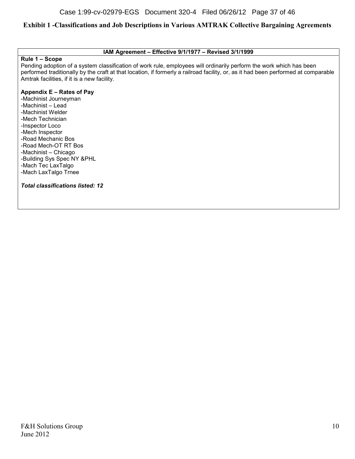#### **IAM Agreement – Effective 9/1/1977 – Revised 3/1/1999**

#### **Rule 1 – Scope**

Pending adoption of a system classification of work rule, employees will ordinarily perform the work which has been performed traditionally by the craft at that location, if formerly a railroad facility, or, as it had been performed at comparable Amtrak facilities, if it is a new facility.

#### **Appendix E – Rates of Pay**

-Machinist Journeyman -Machinist – Lead -Machinist Welder -Mech Technician -Inspector Loco -Mech Inspector -Road Mechanic Bos -Road Mech-OT RT Bos -Machinist – Chicago -Building Sys Spec NY &PHL -Mach Tec LaxTalgo -Mach LaxTalgo Trnee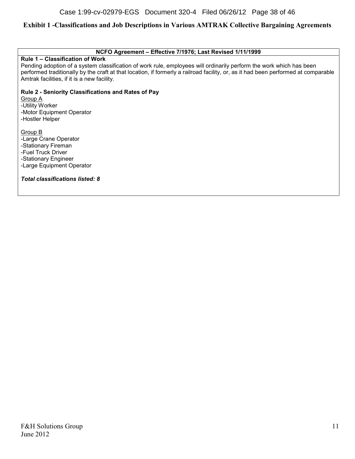#### **NCFO Agreement – Effective 7/1976; Last Revised 1/11/1999**

#### **Rule 1 – Classification of Work**

Pending adoption of a system classification of work rule, employees will ordinarily perform the work which has been performed traditionally by the craft at that location, if formerly a railroad facility, or, as it had been performed at comparable Amtrak facilities, if it is a new facility.

**Rule 2 - Seniority Classifications and Rates of Pay** Group A

-Utility Worker -Motor Equipment Operator -Hostler Helper

Group B -Large Crane Operator -Stationary Fireman -Fuel Truck Driver -Stationary Engineer -Large Equipment Operator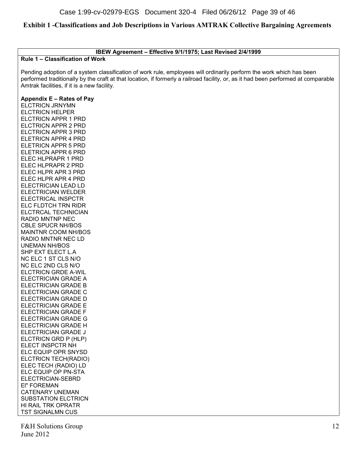#### **IBEW Agreement – Effective 9/1/1975; Last Revised 2/4/1999**

#### **Rule 1 – Classification of Work**

Pending adoption of a system classification of work rule, employees will ordinarily perform the work which has been performed traditionally by the craft at that location, if formerly a railroad facility, or, as it had been performed at comparable Amtrak facilities, if it is a new facility.

#### **Appendix E – Rates of Pay**

ELCTRICN JRNYMN ELCTRICN HELPER ELCTRICN APPR 1 PRD ELCTRICN APPR 2 PRD ELCTRICN APPR 3 PRD ELETRICN APPR 4 PRD ELETRICN APPR 5 PRD ELETRICN APPR 6 PRD ELEC HLPRAPR 1 PRD ELEC HLPRAPR 2 PRD ELEC HLPR APR 3 PRD ELEC HLPR APR 4 PRD ELECTRICIAN LEAD LD ELECTRICIAN WELDER ELECTRICAL INSPCTR ELC FLDTCH TRN RIDR ELCTRCAL TECHNICIAN RADIO MNTNP NEC CBLE SPUCR NH/BOS MAINTNR COOM NH/BOS RADIO MNTNR NEC LD UNEMAN NH/BOS SHP EXT ELECT L.A NC ELC 1 ST CLS N/O NC ELC 2ND CLS N/O ELCTRICN GRDE A-WIL ELECTRICIAN GRADE A ELECTRICIAN GRADE B ELECTRICIAN GRADE C ELECTRICIAN GRADE D ELECTRICIAN GRADE E ELECTRICIAN GRADE F ELECTRICIAN GRADE G ELECTRICIAN GRADE H ELECTRICIAN GRADE J ELCTRICN GRD P (HLP) ELECT INSPCTR NH ELC EQUIP OPR SNYSD ELCTRICN TECH(RADIO) ELEC TECH (RADIO) LD ELC EQUIP OP PN-STA ELECTRIClAN-SEBRD El" FOREMAN CATENARY UNEMAN SUBSTATION ELCTRICN HI RAIL TRK OPRATR TST SIGNALMN CUS

F&H Solutions Group 12 June 2012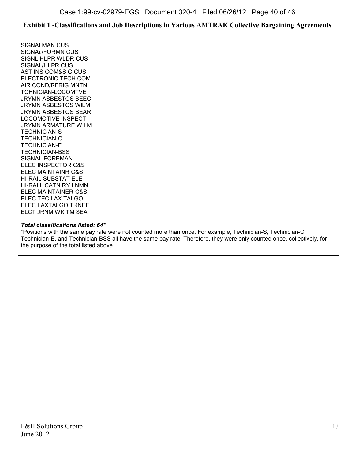SIGNALMAN CUS SIGNAi./FORMN CUS SIGNL HLPR WLDR CUS SIGNAL/HLPR CUS AST INS COM&SIG CUS ELECTRONIC TECH COM AIR COND/RFRIG MNTN TCHNIClAN-LOCOMTVE JRYMN ASBESTOS BEEC JRYMN ASBESTOS WlLM JRYMN ASBESTOS BEAR LOCOMOTIVE INSPECT JRYMN ARMATURE WILM TECHNIClAN-S TECHNICIAN-C TECHNIClAN-E TECHNICIAN-BSS SIGNAL FOREMAN ELEC INSPECTOR C&S ELEC MAINTAINR C&S HI-RAIL SUBSTAT ELE HI-RAI L CATN RY LNMN ELEC MAINTAINER-C&S ELEC TEC LAX TALGO ELEC LAXTALGO TRNEE ELCT JRNM WK TM SEA

#### *Total classifications listed: 64\**

\*Positions with the same pay rate were not counted more than once. For example, Technician-S, Technician-C, Technician-E, and Technician-BSS all have the same pay rate. Therefore, they were only counted once, collectively, for the purpose of the total listed above.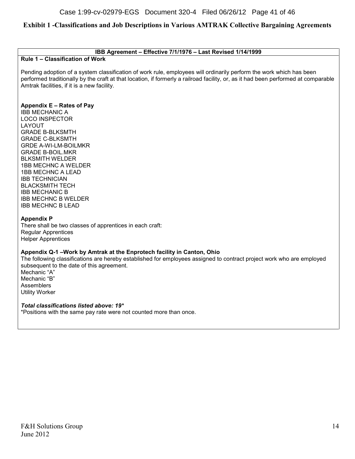#### **IBB Agreement – Effective 7/1/1976 – Last Revised 1/14/1999**

#### **Rule 1 – Classification of Work**

Pending adoption of a system classification of work rule, employees will ordinarily perform the work which has been performed traditionally by the craft at that location, if formerly a railroad facility, or, as it had been performed at comparable Amtrak facilities, if it is a new facility.

#### **Appendix E – Rates of Pay**

IBB MECHANIC A LOCO INSPECTOR LAYOUT GRADE B-BLKSMTH GRADE C-BLKSMTH GRDE A-WI-LM-BOILMKR GRADE B-BOIL.MKR BLKSMITH WELDER 1BB MECHNC A WELDER 1BB MECHNC A LEAD IBB TECHNICIAN BLACKSMITH TECH IBB MECHANIC B IBB MECHNC B WELDER IBB MECHNC B LEAD

#### **Appendix P**

There shall be two classes of apprentices in each craft: Regular Apprentices Helper Apprentices

#### **Appendix Q-1 –Work by Amtrak at the Enprotech facility in Canton, Ohio**

The following classifications are hereby established for employees assigned to contract project work who are employed subsequent to the date of this agreement. Mechanic "A"

Mechanic "B" Assemblers Utility Worker

#### *Total classifications listed above: 19\**

\*Positions with the same pay rate were not counted more than once.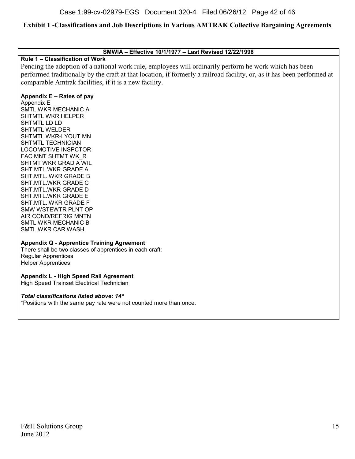**SMWIA – Effective 10/1/1977 – Last Revised 12/22/1998**

#### **Rule 1 – Classification of Work**

Pending the adoption of a national work rule, employees will ordinarily perform he work which has been performed traditionally by the craft at that location, if formerly a railroad facility, or, as it has been performed at comparable Amtrak facilities, if it is a new facility.

#### **Appendix E – Rates of pay**

Appendix E SMTL WKR MECHANIC A SHTMTL WKR HELPER SHTMTL LD LD SHTMTL WELDER SHTMTL WKR-LYOUT MN SHTMTL TECHNICIAN LOCOMOTIVE INSPCTOR FAC MNT SHTMT WK\_R SHTMT WKR GRAD A WIL SHT.MTL.WKR.GRADE A SHT.MTL..WKR GRADE B SHT.MTL.WKR GRADE C SHT.MTL.WKR GRADE D SHT.MTL.WKR GRADE E SHT.MTL..WKR GRADE F SMW WSTEWTR PLNT OP AIR COND/REFRIG MNTN SMTL WKR MECHANIC B SMTL WKR CAR WASH

#### **Appendix Q - Apprentice Training Agreement**

There shall be two classes of apprentices in each craft: Regular Apprentices Helper Apprentices

# **Appendix L - High Speed Rail Agreement**

High Speed Trainset Electrical Technician

#### *Total classifications listed above: 14\**

\*Positions with the same pay rate were not counted more than once.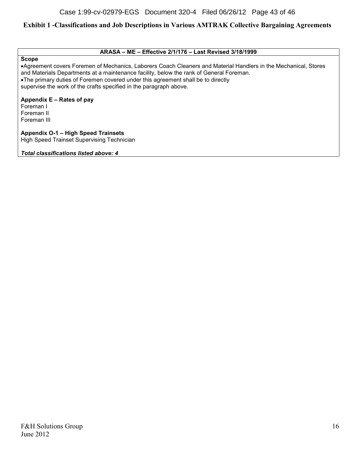#### **ARASA – ME – Effective 2/1/176 – Last Revised 3/18/1999**

**Scope**

Agreement covers Foremen of Mechanics, Laborers Coach Cleaners and Material Handlers in the Mechanical, Stores and Materials Departments at a maintenance facility, below the rank of General Foreman. The primary duties of Foremen covered under this agreement shall be to directly supervise the work of the crafts specified in the paragraph above.

**Appendix E – Rates of pay**

Foreman I Foreman II Foreman III

**Appendix O-1 – High Speed Trainsets** High Speed Trainset Supervising Technician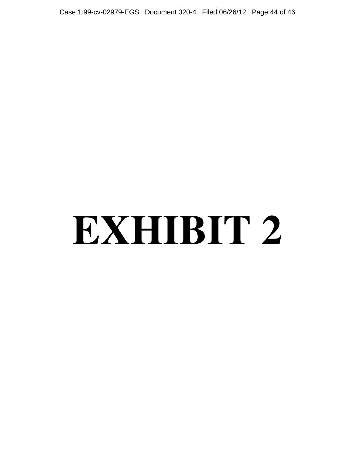Case 1:99-cv-02979-EGS Document 320-4 Filed 06/26/12 Page 44 of 46

# **EXHIBIT 2**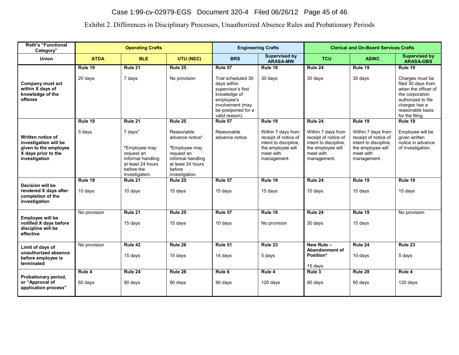# Case 1:99-cv-02979-EGS Document 320-4 Filed 06/26/12 Page 45 of 46

# Exhibit 2. Differences in Disciplinary Processes, Unauthorized Absence Rules and Probationary Periods

| <b>Roth's "Functional</b><br>Category"                                                                      | <b>Operating Crafts</b> |                                                                                                                  |                                                                                                                                    |                                                                                                                                                   | <b>Engineering Crafts</b>                                                                                            | <b>Clerical and On-Board Services Crafts</b>                                                                         |                                                                                                                      |                                                                                                                                                               |
|-------------------------------------------------------------------------------------------------------------|-------------------------|------------------------------------------------------------------------------------------------------------------|------------------------------------------------------------------------------------------------------------------------------------|---------------------------------------------------------------------------------------------------------------------------------------------------|----------------------------------------------------------------------------------------------------------------------|----------------------------------------------------------------------------------------------------------------------|----------------------------------------------------------------------------------------------------------------------|---------------------------------------------------------------------------------------------------------------------------------------------------------------|
| <b>Union</b>                                                                                                | <b>ATDA</b>             | <b>BLE</b>                                                                                                       | UTU (NEC)                                                                                                                          | <b>BRS</b>                                                                                                                                        | Supervised by<br><b>ARASA-MW</b>                                                                                     | <b>TCU</b>                                                                                                           | <b>ASWC</b>                                                                                                          | <b>Supervised by</b><br><b>ARASA-OBS</b>                                                                                                                      |
|                                                                                                             | Rule 19                 | Rule 21                                                                                                          | Rule 25                                                                                                                            | Rule 57                                                                                                                                           | Rule 19                                                                                                              | Rule 24                                                                                                              | Rule 19                                                                                                              | Rule 19                                                                                                                                                       |
| Company must act<br>within X days of<br>knowledge of the<br>offense                                         | 20 days                 | 7 days                                                                                                           | No provision                                                                                                                       | Trial scheduled 30<br>days within<br>supervisor's first<br>knowledge of<br>employee's<br>involvement (may<br>be postponed for a<br>valid reason). | 30 days                                                                                                              | 30 days                                                                                                              | 30 days                                                                                                              | Charges must be<br>filed 30 days from<br>when the officer of<br>the corporation<br>authorized to file<br>charges has a<br>reasonable basis<br>for the filing. |
|                                                                                                             | Rule 19                 | Rule 21                                                                                                          | Rule 25                                                                                                                            | Rule 57                                                                                                                                           | Rule 19                                                                                                              | Rule 24                                                                                                              | Rule 19                                                                                                              | Rule 19                                                                                                                                                       |
| Written notice of<br>investigation will be<br>given to the employee<br>X days prior to the<br>investigation | 5 days                  | 7 days*<br>*Employee may<br>request an<br>informal handling<br>at least 24 hours<br>before the<br>investigation. | Reasonable<br>advance notice*<br>*Employee may<br>request an<br>informal handling<br>at least 24 hours<br>before<br>investigation. | Reasonable<br>advance notice                                                                                                                      | Within 7 days from<br>receipt of notice of<br>intent to discipline,<br>the employee will<br>meet with<br>management. | Within 7 days from<br>receipt of notice of<br>intent to discipline,<br>the employee will<br>meet with<br>management. | Within 7 days from<br>receipt of notice of<br>intent to discipline.<br>the employee will<br>meet with<br>management. | Employee will be<br>given written<br>notice in advance<br>of investigation.                                                                                   |
| Decision will be                                                                                            | Rule 19                 | Rule 21                                                                                                          | Rule 25                                                                                                                            | Rule 57                                                                                                                                           | Rule 19                                                                                                              | Rule 24                                                                                                              | Rule 19                                                                                                              | Rule 19                                                                                                                                                       |
| rendered X days after<br>completion of the<br>investigation                                                 | 10 days                 | 10 days                                                                                                          | 15 days                                                                                                                            | 15 days                                                                                                                                           | 15 days                                                                                                              | 10 days                                                                                                              | 10 days                                                                                                              | 15 days                                                                                                                                                       |
|                                                                                                             | No provision            | Rule 21                                                                                                          | Rule 25                                                                                                                            | Rule 57                                                                                                                                           | Rule 19                                                                                                              | Rule 24                                                                                                              | Rule 19                                                                                                              | No provision                                                                                                                                                  |
| <b>Employee will be</b><br>notified X days before<br>discipline will be<br>effective                        |                         | 15 days                                                                                                          | 15 days                                                                                                                            | 10 days                                                                                                                                           | No provision                                                                                                         | 30 days                                                                                                              | 15 days                                                                                                              |                                                                                                                                                               |
| Limit of days of                                                                                            | No provision            | Rule 42                                                                                                          | Rule 26                                                                                                                            | Rule 51                                                                                                                                           | Rule 23                                                                                                              | New Rule -                                                                                                           | Rule 24                                                                                                              | Rule 23                                                                                                                                                       |
| unauthorized absence<br>before employee is<br>terminated                                                    |                         | 15 days                                                                                                          | 15 days                                                                                                                            | 14 days                                                                                                                                           | 5 days                                                                                                               | <b>Abandonment of</b><br>Position*<br>15 days                                                                        | 10 days                                                                                                              | 5 days                                                                                                                                                        |
|                                                                                                             | Rule 4                  | Rule 24                                                                                                          | Rule 28                                                                                                                            | Rule <sub>6</sub>                                                                                                                                 | Rule 4                                                                                                               | Rule 3                                                                                                               | Rule 28                                                                                                              | Rule 4                                                                                                                                                        |
| Probationary period,<br>or "Approval of<br>application process"                                             | 60 days                 | 90 days                                                                                                          | 90 days                                                                                                                            | 90 days                                                                                                                                           | 120 days                                                                                                             | 90 days                                                                                                              | 90 days                                                                                                              | 120 days                                                                                                                                                      |